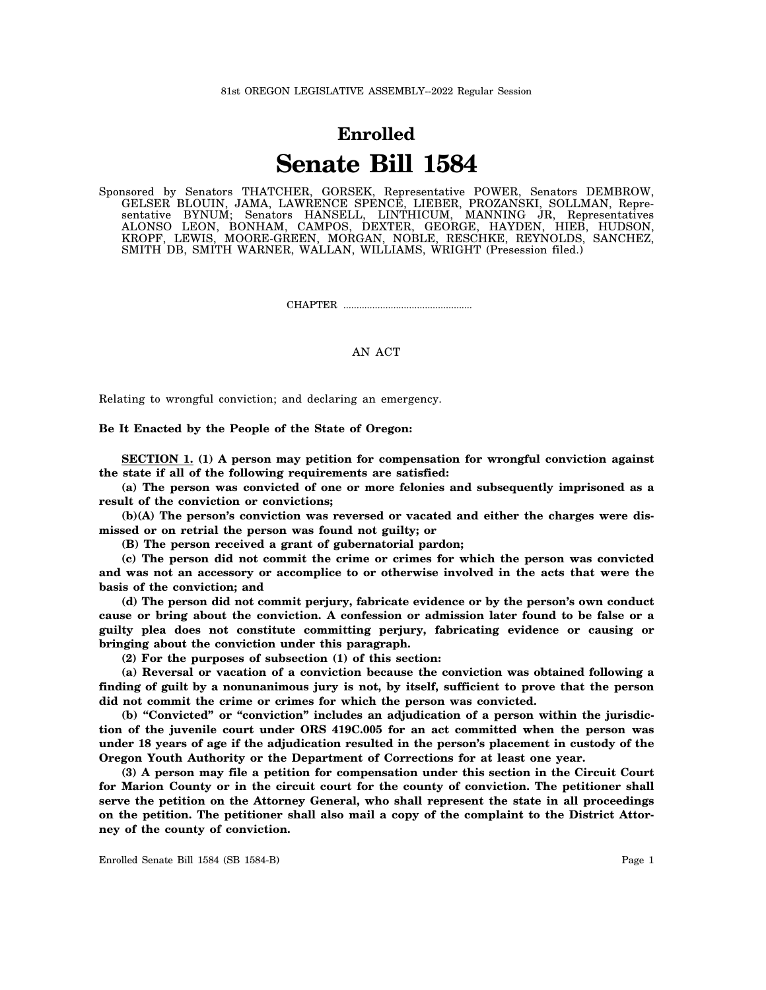## **Enrolled Senate Bill 1584**

Sponsored by Senators THATCHER, GORSEK, Representative POWER, Senators DEMBROW, GELSER BLOUIN, JAMA, LAWRENCE SPENCE, LIEBER, PROZANSKI, SOLLMAN, Representative BYNUM; Senators HANSELL, LINTHICUM, MANNING JR, Representatives ALONSO LEON, BONHAM, CAMPOS, DEXTER, GEORGE, HAYDEN, HIEB, HUDSON, KROPF, LEWIS, MOORE-GREEN, MORGAN, NOBLE, RESCHKE, REYNOLDS, SANCHEZ, SMITH DB, SMITH WARNER, WALLAN, WILLIAMS, WRIGHT (Presession filed.)

CHAPTER .................................................

## AN ACT

Relating to wrongful conviction; and declaring an emergency.

## **Be It Enacted by the People of the State of Oregon:**

**SECTION 1. (1) A person may petition for compensation for wrongful conviction against the state if all of the following requirements are satisfied:**

**(a) The person was convicted of one or more felonies and subsequently imprisoned as a result of the conviction or convictions;**

**(b)(A) The person's conviction was reversed or vacated and either the charges were dismissed or on retrial the person was found not guilty; or**

**(B) The person received a grant of gubernatorial pardon;**

**(c) The person did not commit the crime or crimes for which the person was convicted and was not an accessory or accomplice to or otherwise involved in the acts that were the basis of the conviction; and**

**(d) The person did not commit perjury, fabricate evidence or by the person's own conduct cause or bring about the conviction. A confession or admission later found to be false or a guilty plea does not constitute committing perjury, fabricating evidence or causing or bringing about the conviction under this paragraph.**

**(2) For the purposes of subsection (1) of this section:**

**(a) Reversal or vacation of a conviction because the conviction was obtained following a finding of guilt by a nonunanimous jury is not, by itself, sufficient to prove that the person did not commit the crime or crimes for which the person was convicted.**

**(b) "Convicted" or "conviction" includes an adjudication of a person within the jurisdiction of the juvenile court under ORS 419C.005 for an act committed when the person was under 18 years of age if the adjudication resulted in the person's placement in custody of the Oregon Youth Authority or the Department of Corrections for at least one year.**

**(3) A person may file a petition for compensation under this section in the Circuit Court for Marion County or in the circuit court for the county of conviction. The petitioner shall serve the petition on the Attorney General, who shall represent the state in all proceedings on the petition. The petitioner shall also mail a copy of the complaint to the District Attorney of the county of conviction.**

Enrolled Senate Bill 1584 (SB 1584-B) Page 1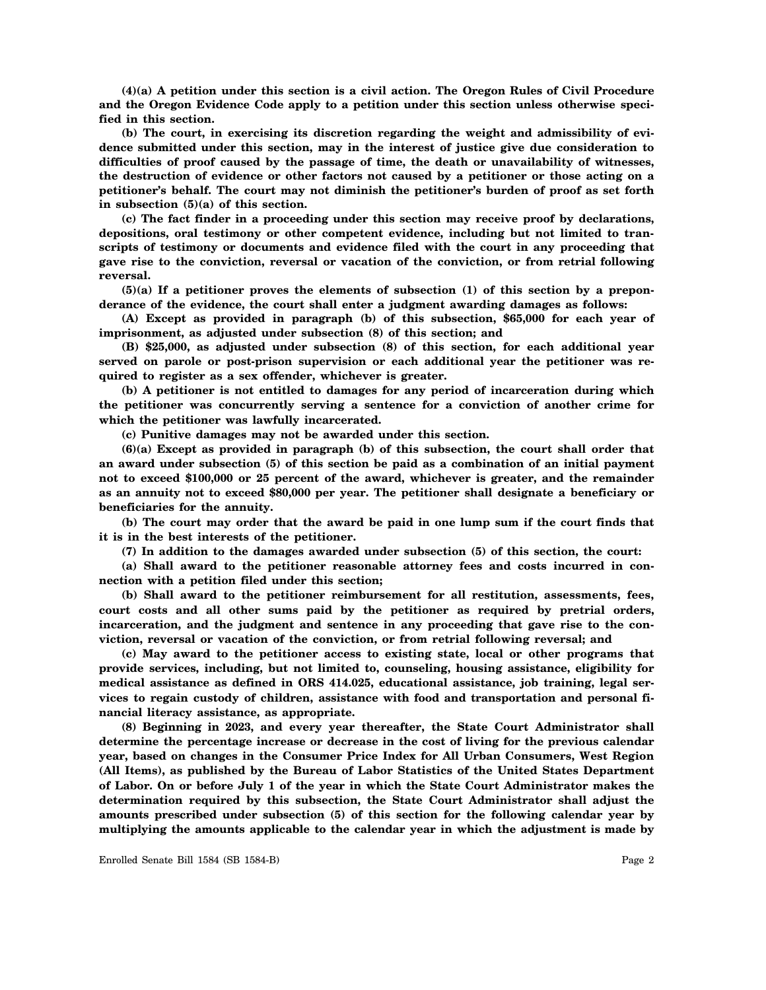**(4)(a) A petition under this section is a civil action. The Oregon Rules of Civil Procedure and the Oregon Evidence Code apply to a petition under this section unless otherwise specified in this section.**

**(b) The court, in exercising its discretion regarding the weight and admissibility of evidence submitted under this section, may in the interest of justice give due consideration to difficulties of proof caused by the passage of time, the death or unavailability of witnesses, the destruction of evidence or other factors not caused by a petitioner or those acting on a petitioner's behalf. The court may not diminish the petitioner's burden of proof as set forth in subsection (5)(a) of this section.**

**(c) The fact finder in a proceeding under this section may receive proof by declarations, depositions, oral testimony or other competent evidence, including but not limited to transcripts of testimony or documents and evidence filed with the court in any proceeding that gave rise to the conviction, reversal or vacation of the conviction, or from retrial following reversal.**

**(5)(a) If a petitioner proves the elements of subsection (1) of this section by a preponderance of the evidence, the court shall enter a judgment awarding damages as follows:**

**(A) Except as provided in paragraph (b) of this subsection, \$65,000 for each year of imprisonment, as adjusted under subsection (8) of this section; and**

**(B) \$25,000, as adjusted under subsection (8) of this section, for each additional year served on parole or post-prison supervision or each additional year the petitioner was required to register as a sex offender, whichever is greater.**

**(b) A petitioner is not entitled to damages for any period of incarceration during which the petitioner was concurrently serving a sentence for a conviction of another crime for which the petitioner was lawfully incarcerated.**

**(c) Punitive damages may not be awarded under this section.**

**(6)(a) Except as provided in paragraph (b) of this subsection, the court shall order that an award under subsection (5) of this section be paid as a combination of an initial payment not to exceed \$100,000 or 25 percent of the award, whichever is greater, and the remainder as an annuity not to exceed \$80,000 per year. The petitioner shall designate a beneficiary or beneficiaries for the annuity.**

**(b) The court may order that the award be paid in one lump sum if the court finds that it is in the best interests of the petitioner.**

**(7) In addition to the damages awarded under subsection (5) of this section, the court:**

**(a) Shall award to the petitioner reasonable attorney fees and costs incurred in connection with a petition filed under this section;**

**(b) Shall award to the petitioner reimbursement for all restitution, assessments, fees, court costs and all other sums paid by the petitioner as required by pretrial orders, incarceration, and the judgment and sentence in any proceeding that gave rise to the conviction, reversal or vacation of the conviction, or from retrial following reversal; and**

**(c) May award to the petitioner access to existing state, local or other programs that provide services, including, but not limited to, counseling, housing assistance, eligibility for medical assistance as defined in ORS 414.025, educational assistance, job training, legal services to regain custody of children, assistance with food and transportation and personal financial literacy assistance, as appropriate.**

**(8) Beginning in 2023, and every year thereafter, the State Court Administrator shall determine the percentage increase or decrease in the cost of living for the previous calendar year, based on changes in the Consumer Price Index for All Urban Consumers, West Region (All Items), as published by the Bureau of Labor Statistics of the United States Department of Labor. On or before July 1 of the year in which the State Court Administrator makes the determination required by this subsection, the State Court Administrator shall adjust the amounts prescribed under subsection (5) of this section for the following calendar year by multiplying the amounts applicable to the calendar year in which the adjustment is made by**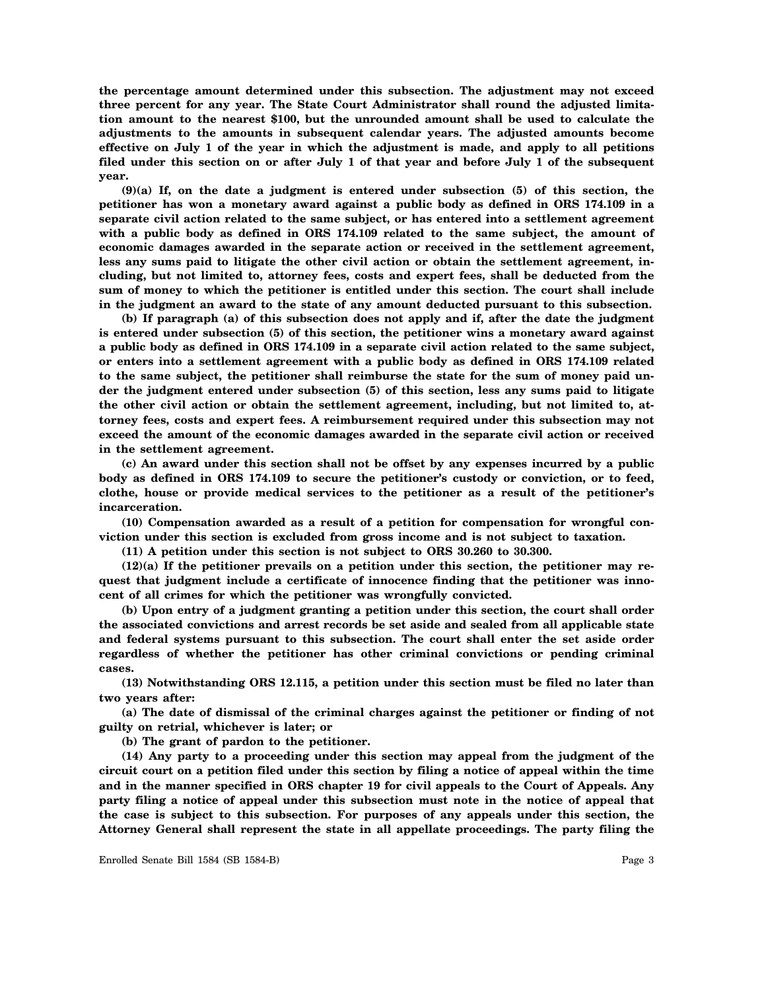**the percentage amount determined under this subsection. The adjustment may not exceed three percent for any year. The State Court Administrator shall round the adjusted limitation amount to the nearest \$100, but the unrounded amount shall be used to calculate the adjustments to the amounts in subsequent calendar years. The adjusted amounts become effective on July 1 of the year in which the adjustment is made, and apply to all petitions filed under this section on or after July 1 of that year and before July 1 of the subsequent year.**

**(9)(a) If, on the date a judgment is entered under subsection (5) of this section, the petitioner has won a monetary award against a public body as defined in ORS 174.109 in a separate civil action related to the same subject, or has entered into a settlement agreement with a public body as defined in ORS 174.109 related to the same subject, the amount of economic damages awarded in the separate action or received in the settlement agreement, less any sums paid to litigate the other civil action or obtain the settlement agreement, including, but not limited to, attorney fees, costs and expert fees, shall be deducted from the sum of money to which the petitioner is entitled under this section. The court shall include in the judgment an award to the state of any amount deducted pursuant to this subsection.**

**(b) If paragraph (a) of this subsection does not apply and if, after the date the judgment is entered under subsection (5) of this section, the petitioner wins a monetary award against a public body as defined in ORS 174.109 in a separate civil action related to the same subject, or enters into a settlement agreement with a public body as defined in ORS 174.109 related to the same subject, the petitioner shall reimburse the state for the sum of money paid under the judgment entered under subsection (5) of this section, less any sums paid to litigate the other civil action or obtain the settlement agreement, including, but not limited to, attorney fees, costs and expert fees. A reimbursement required under this subsection may not exceed the amount of the economic damages awarded in the separate civil action or received in the settlement agreement.**

**(c) An award under this section shall not be offset by any expenses incurred by a public body as defined in ORS 174.109 to secure the petitioner's custody or conviction, or to feed, clothe, house or provide medical services to the petitioner as a result of the petitioner's incarceration.**

**(10) Compensation awarded as a result of a petition for compensation for wrongful conviction under this section is excluded from gross income and is not subject to taxation.**

**(11) A petition under this section is not subject to ORS 30.260 to 30.300.**

**(12)(a) If the petitioner prevails on a petition under this section, the petitioner may request that judgment include a certificate of innocence finding that the petitioner was innocent of all crimes for which the petitioner was wrongfully convicted.**

**(b) Upon entry of a judgment granting a petition under this section, the court shall order the associated convictions and arrest records be set aside and sealed from all applicable state and federal systems pursuant to this subsection. The court shall enter the set aside order regardless of whether the petitioner has other criminal convictions or pending criminal cases.**

**(13) Notwithstanding ORS 12.115, a petition under this section must be filed no later than two years after:**

**(a) The date of dismissal of the criminal charges against the petitioner or finding of not guilty on retrial, whichever is later; or**

**(b) The grant of pardon to the petitioner.**

**(14) Any party to a proceeding under this section may appeal from the judgment of the circuit court on a petition filed under this section by filing a notice of appeal within the time and in the manner specified in ORS chapter 19 for civil appeals to the Court of Appeals. Any party filing a notice of appeal under this subsection must note in the notice of appeal that the case is subject to this subsection. For purposes of any appeals under this section, the Attorney General shall represent the state in all appellate proceedings. The party filing the**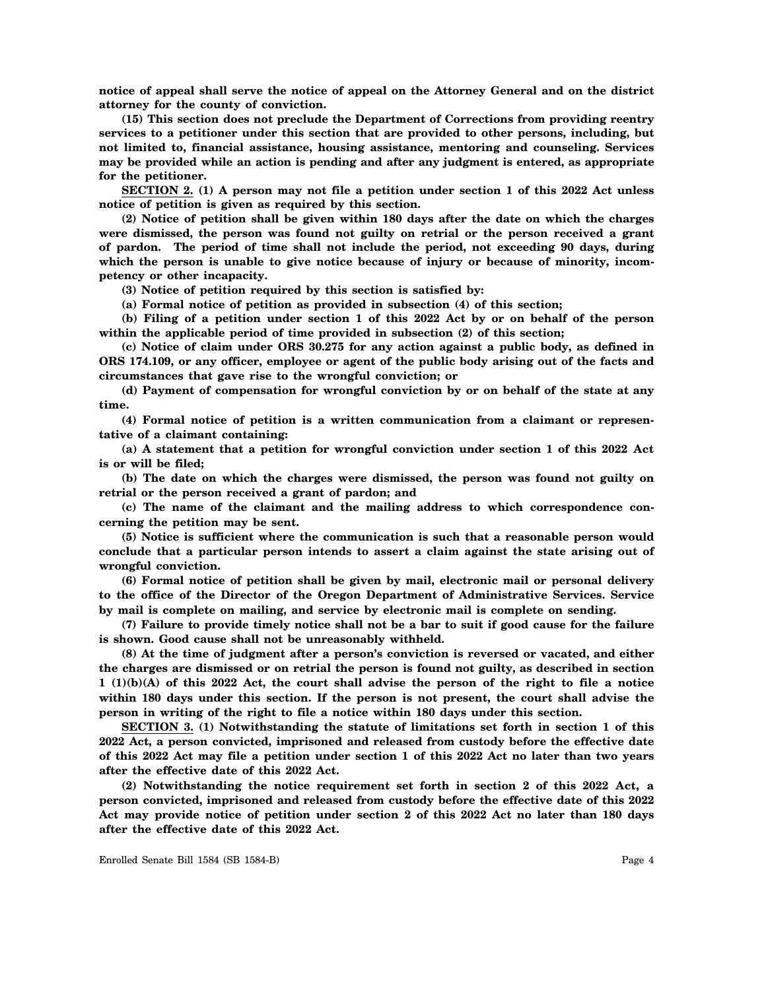**notice of appeal shall serve the notice of appeal on the Attorney General and on the district attorney for the county of conviction.**

**(15) This section does not preclude the Department of Corrections from providing reentry services to a petitioner under this section that are provided to other persons, including, but not limited to, financial assistance, housing assistance, mentoring and counseling. Services may be provided while an action is pending and after any judgment is entered, as appropriate for the petitioner.**

**SECTION 2. (1) A person may not file a petition under section 1 of this 2022 Act unless notice of petition is given as required by this section.**

**(2) Notice of petition shall be given within 180 days after the date on which the charges were dismissed, the person was found not guilty on retrial or the person received a grant of pardon. The period of time shall not include the period, not exceeding 90 days, during which the person is unable to give notice because of injury or because of minority, incompetency or other incapacity.**

**(3) Notice of petition required by this section is satisfied by:**

**(a) Formal notice of petition as provided in subsection (4) of this section;**

**(b) Filing of a petition under section 1 of this 2022 Act by or on behalf of the person within the applicable period of time provided in subsection (2) of this section;**

**(c) Notice of claim under ORS 30.275 for any action against a public body, as defined in ORS 174.109, or any officer, employee or agent of the public body arising out of the facts and circumstances that gave rise to the wrongful conviction; or**

**(d) Payment of compensation for wrongful conviction by or on behalf of the state at any time.**

**(4) Formal notice of petition is a written communication from a claimant or representative of a claimant containing:**

**(a) A statement that a petition for wrongful conviction under section 1 of this 2022 Act is or will be filed;**

**(b) The date on which the charges were dismissed, the person was found not guilty on retrial or the person received a grant of pardon; and**

**(c) The name of the claimant and the mailing address to which correspondence concerning the petition may be sent.**

**(5) Notice is sufficient where the communication is such that a reasonable person would conclude that a particular person intends to assert a claim against the state arising out of wrongful conviction.**

**(6) Formal notice of petition shall be given by mail, electronic mail or personal delivery to the office of the Director of the Oregon Department of Administrative Services. Service by mail is complete on mailing, and service by electronic mail is complete on sending.**

**(7) Failure to provide timely notice shall not be a bar to suit if good cause for the failure is shown. Good cause shall not be unreasonably withheld.**

**(8) At the time of judgment after a person's conviction is reversed or vacated, and either the charges are dismissed or on retrial the person is found not guilty, as described in section 1 (1)(b)(A) of this 2022 Act, the court shall advise the person of the right to file a notice within 180 days under this section. If the person is not present, the court shall advise the person in writing of the right to file a notice within 180 days under this section.**

**SECTION 3. (1) Notwithstanding the statute of limitations set forth in section 1 of this 2022 Act, a person convicted, imprisoned and released from custody before the effective date of this 2022 Act may file a petition under section 1 of this 2022 Act no later than two years after the effective date of this 2022 Act.**

**(2) Notwithstanding the notice requirement set forth in section 2 of this 2022 Act, a person convicted, imprisoned and released from custody before the effective date of this 2022 Act may provide notice of petition under section 2 of this 2022 Act no later than 180 days after the effective date of this 2022 Act.**